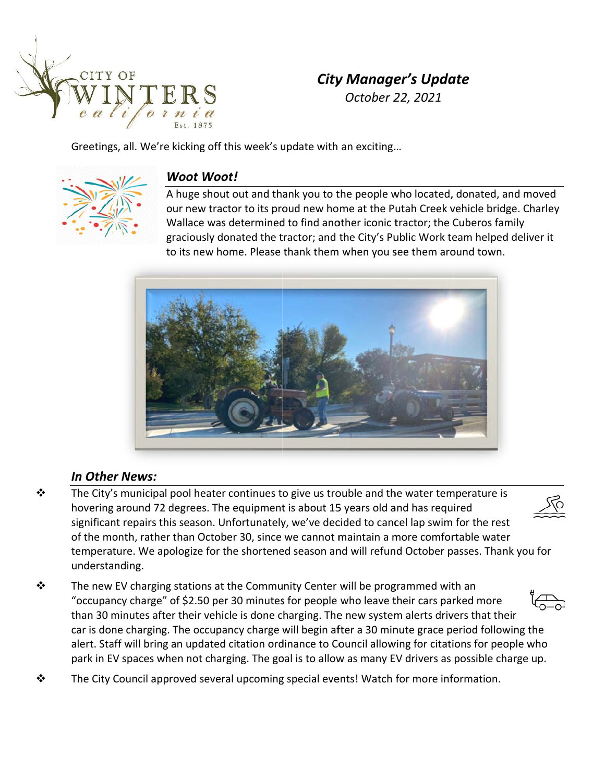

# **City Manager's Update** October 22, 2021

Greetings, all. We're kicking off this week's update with an exciting...



### **Woot Woot!**

A huge shout out and thank you to the people who located, donated, and moved our new tractor to its proud new home at the Putah Creek vehicle bridge. Charley Wallace was determined to find another iconic tractor; the Cuberos family graciously donated the tractor; and the City's Public Work team helped deliver it to its new home. Please thank them when you see them around town.



## **In Other News:**

- The City's municipal pool heater continues to give us trouble and the water temperature is ❖ hovering around 72 degrees. The equipment is about 15 years old and has required significant repairs this season. Unfortunately, we've decided to cancel lap swim for the rest of the month, rather than October 30, since we cannot maintain a more comfortable water temperature. We apologize for the shortened season and will refund October passes. Thank you for understanding.
- The new EV charging stations at the Community Center will be programmed with an ❖ "occupancy charge" of \$2.50 per 30 minutes for people who leave their cars parked more than 30 minutes after their vehicle is done charging. The new system alerts drivers that their car is done charging. The occupancy charge will begin after a 30 minute grace period following the alert. Staff will bring an updated citation ordinance to Council allowing for citations for people who park in EV spaces when not charging. The goal is to allow as many EV drivers as possible charge up.
	-
- The City Council approved several upcoming special events! Watch for more information. ❖

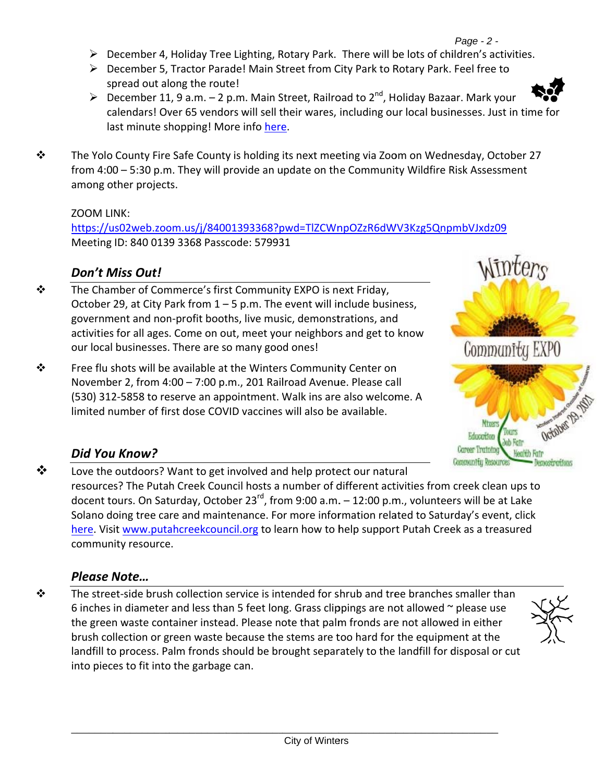- $\triangleright$  December 4, Holiday Tree Lighting, Rotary Park. There will be lots of children's activities.
- ▶ December 5, Tractor Parade! Main Street from City Park to Rotary Park. Feel free to spread out along the route!
- > December 11, 9 a.m.  $-$  2 p.m. Main Street, Railroad to  $2^{nd}$ , Holiday Bazaar. Mark your calendars! Over 65 vendors will sell their wares, including our local businesses. Just in time for last minute shopping! More info here.
- ❖ The Yolo County Fire Safe County is holding its next meeting via Zoom on Wednesday, October 27 from 4:00 – 5:30 p.m. They will provide an update on the Community Wildfire Risk Assessment among other projects.

#### ZOOM LINK:

https://us02web.zoom.us/j/84001393368?pwd=TlZCWnpOZzR6dWV3Kzg5QnpmbVJxdz09 Meeting ID: 840 0139 3368 Passcode: 579931

# **Don't Miss Out!**

- The Chamber of Commerce's first Community EXPO is next Friday, ❖ October 29, at City Park from 1 - 5 p.m. The event will include business, government and non-profit booths, live music, demonstrations, and activities for all ages. Come on out, meet your neighbors and get to know our local businesses. There are so many good ones!
- ❖ Free flu shots will be available at the Winters Community Center on November 2, from 4:00 - 7:00 p.m., 201 Railroad Avenue. Please call (530) 312-5858 to reserve an appointment. Walk ins are also welcome. A limited number of first dose COVID vaccines will also be available.



## Did You Know?

❖ Love the outdoors? Want to get involved and help protect our natural resources? The Putah Creek Council hosts a number of different activities from creek clean ups to docent tours. On Saturday, October 23<sup>rd</sup>, from 9:00 a.m.  $-$  12:00 p.m., volunteers will be at Lake Solano doing tree care and maintenance. For more information related to Saturday's event, click here. Visit www.putahcreekcouncil.org to learn how to help support Putah Creek as a treasured community resource.

## **Please Note...**

The street-side brush collection service is intended for shrub and tree branches smaller than ❖ 6 inches in diameter and less than 5 feet long. Grass clippings are not allowed  $\sim$  please use the green waste container instead. Please note that palm fronds are not allowed in either brush collection or green waste because the stems are too hard for the equipment at the landfill to process. Palm fronds should be brought separately to the landfill for disposal or cut into pieces to fit into the garbage can.